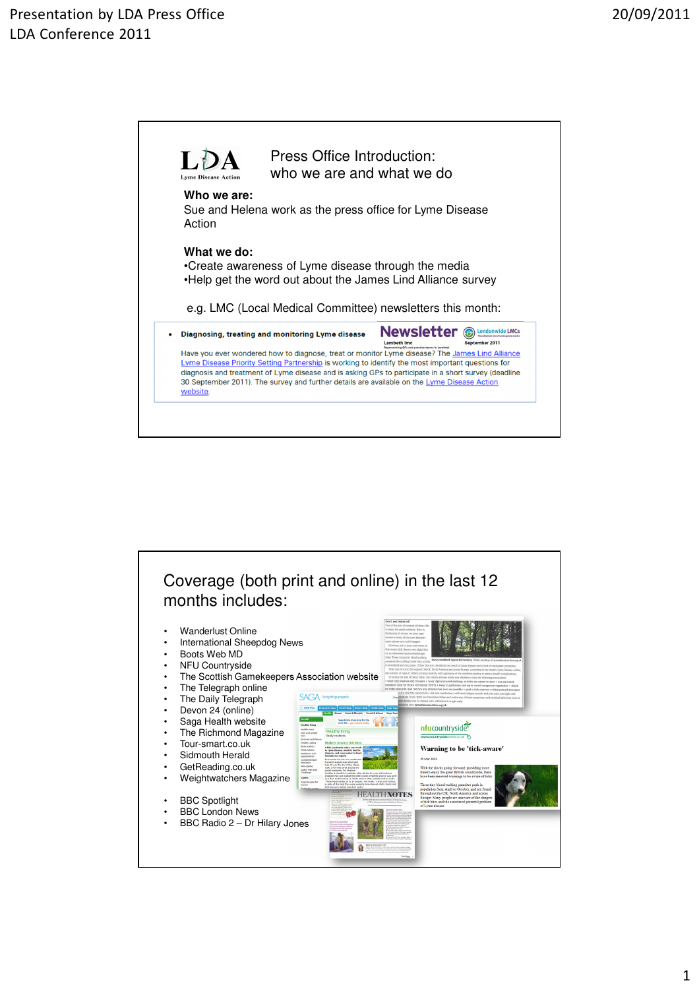

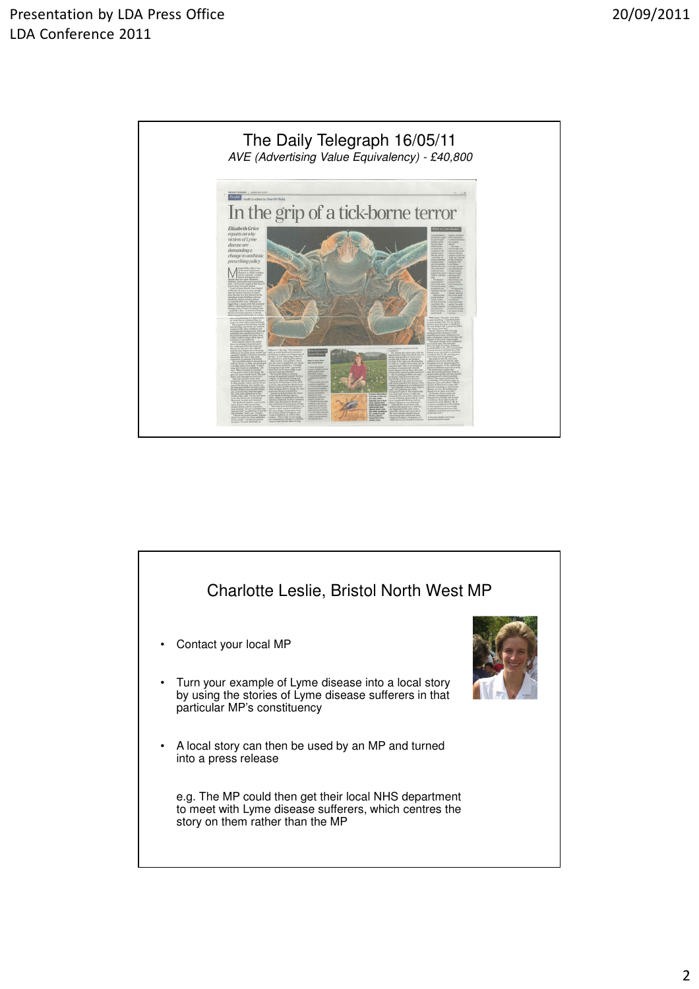